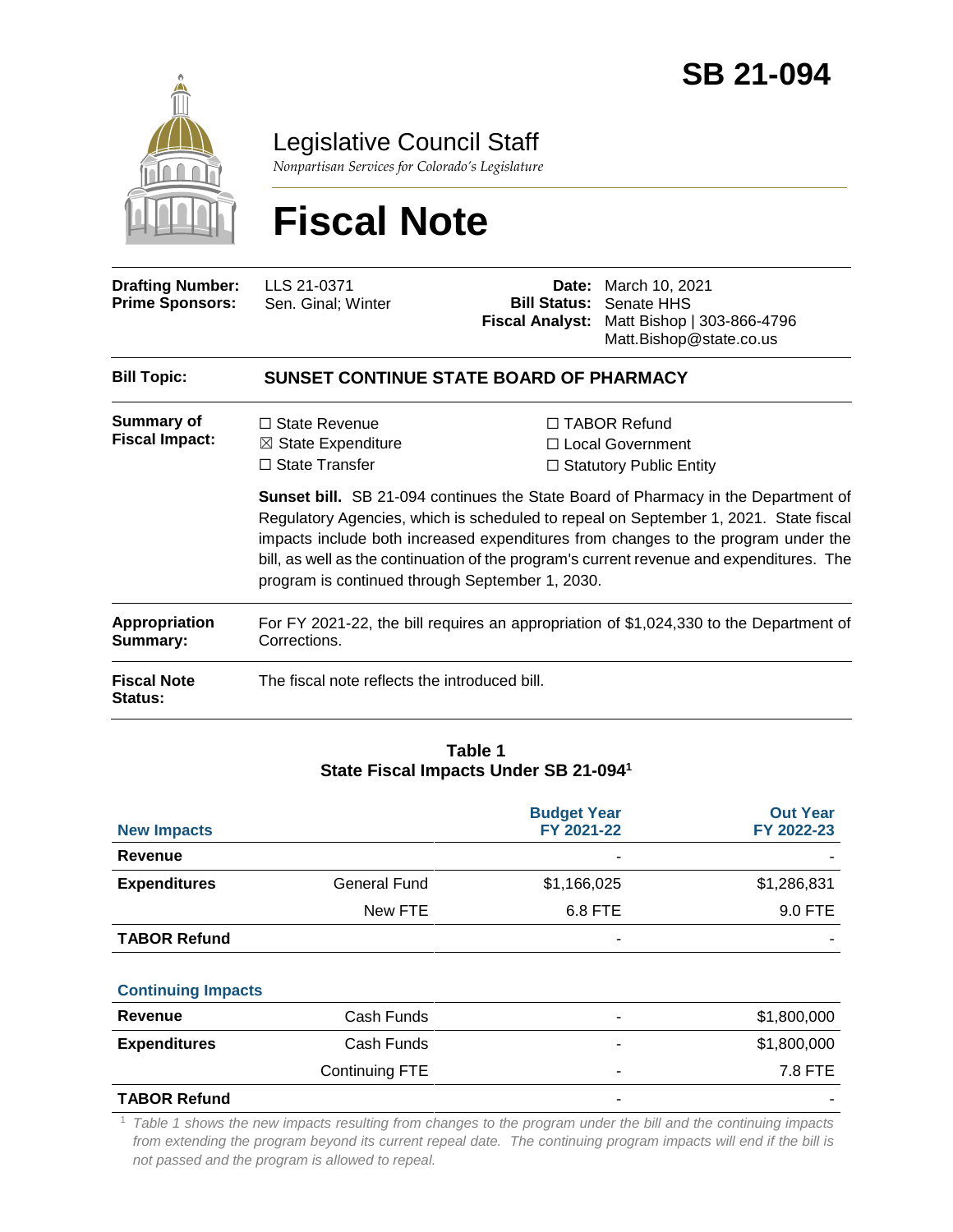

Legislative Council Staff

*Nonpartisan Services for Colorado's Legislature*

# **Fiscal Note**

| <b>Bill Topic:</b>                                | Matt.Bishop@state.co.us<br>SUNSET CONTINUE STATE BOARD OF PHARMACY |  |                                                                                                             |  |
|---------------------------------------------------|--------------------------------------------------------------------|--|-------------------------------------------------------------------------------------------------------------|--|
| <b>Drafting Number:</b><br><b>Prime Sponsors:</b> | LLS 21-0371<br>Sen. Ginal; Winter                                  |  | <b>Date:</b> March 10, 2021<br><b>Bill Status: Senate HHS</b><br>Fiscal Analyst: Matt Bishop   303-866-4796 |  |

| Summary of            | $\Box$ State Revenue          | $\Box$ TABOR Refund       |
|-----------------------|-------------------------------|---------------------------|
| <b>Fiscal Impact:</b> | $\boxtimes$ State Expenditure | □ Local Government        |
|                       | $\Box$ State Transfer         | □ Statutory Public Entity |

**Sunset bill.** SB 21-094 continues the State Board of Pharmacy in the Department of Regulatory Agencies, which is scheduled to repeal on September 1, 2021. State fiscal impacts include both increased expenditures from changes to the program under the bill, as well as the continuation of the program's current revenue and expenditures. The program is continued through September 1, 2030.

| Appropriation                        | For FY 2021-22, the bill requires an appropriation of \$1,024,330 to the Department of |
|--------------------------------------|----------------------------------------------------------------------------------------|
| Summary:                             | Corrections.                                                                           |
| <b>Fiscal Note</b><br><b>Status:</b> | The fiscal note reflects the introduced bill.                                          |

#### **Table 1 State Fiscal Impacts Under SB 21-094<sup>1</sup>**

|                           |                     | <b>Budget Year</b> | <b>Out Year</b> |
|---------------------------|---------------------|--------------------|-----------------|
| <b>New Impacts</b>        |                     | FY 2021-22         | FY 2022-23      |
| Revenue                   |                     |                    |                 |
| <b>Expenditures</b>       | <b>General Fund</b> | \$1,166,025        | \$1,286,831     |
|                           | New FTE             | 6.8 FTE            | 9.0 FTE         |
| <b>TABOR Refund</b>       |                     |                    |                 |
|                           |                     |                    |                 |
| <b>Continuing Impacts</b> |                     |                    |                 |
| Revenue                   | Cash Funds          |                    | \$1,800,000     |
| <b>Expenditures</b>       | Cash Funds          |                    | \$1,800,000     |
|                           | Continuing FTE      |                    | 7.8 FTE         |
| <b>TABOR Refund</b>       |                     |                    |                 |

<sup>1</sup> *Table 1 shows the new impacts resulting from changes to the program under the bill and the continuing impacts from extending the program beyond its current repeal date. The continuing program impacts will end if the bill is not passed and the program is allowed to repeal.*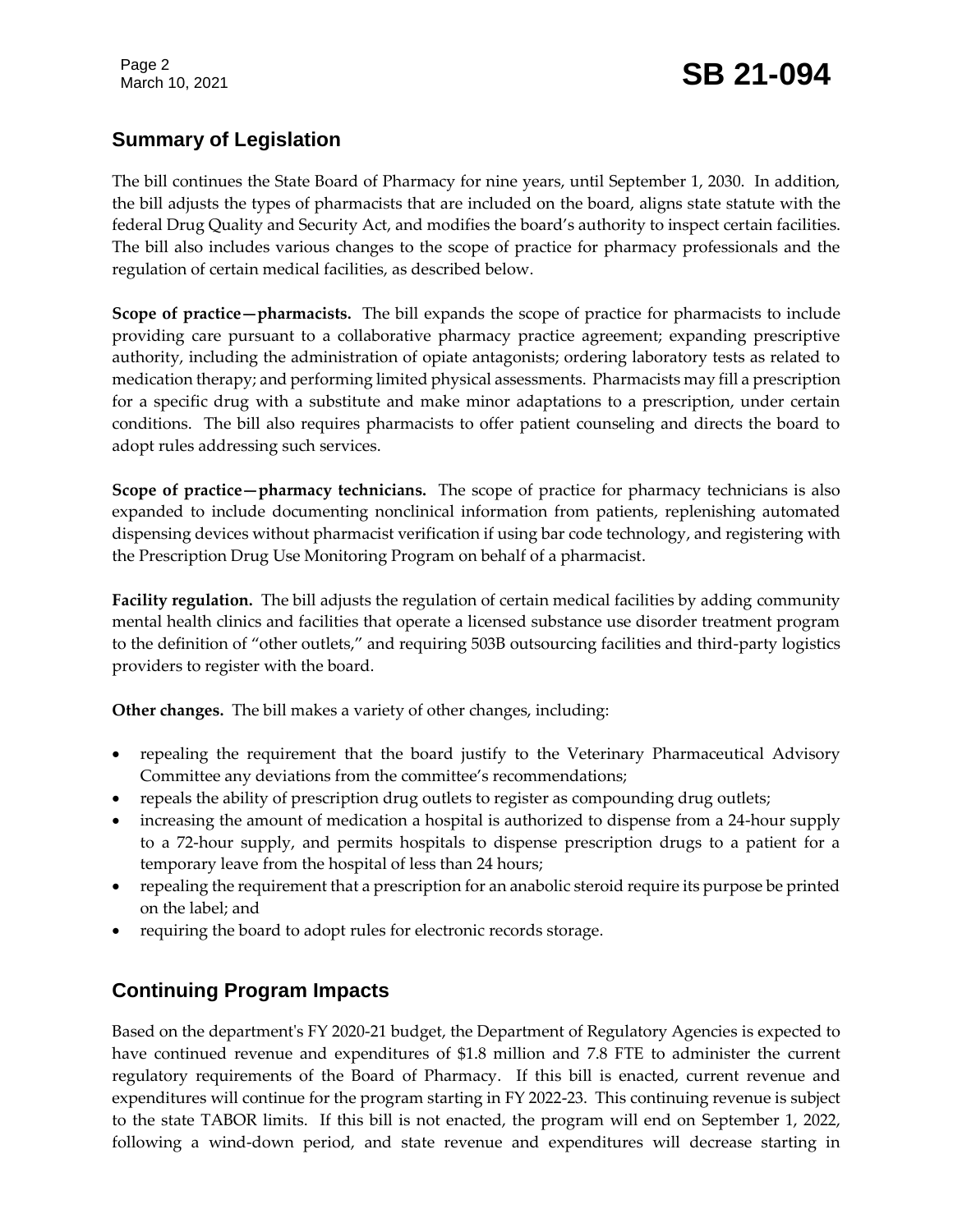Page 2

# Page 2<br>March 10, 2021 **SB 21-094**

# **Summary of Legislation**

The bill continues the State Board of Pharmacy for nine years, until September 1, 2030. In addition, the bill adjusts the types of pharmacists that are included on the board, aligns state statute with the federal Drug Quality and Security Act, and modifies the board's authority to inspect certain facilities. The bill also includes various changes to the scope of practice for pharmacy professionals and the regulation of certain medical facilities, as described below.

**Scope of practice—pharmacists.** The bill expands the scope of practice for pharmacists to include providing care pursuant to a collaborative pharmacy practice agreement; expanding prescriptive authority, including the administration of opiate antagonists; ordering laboratory tests as related to medication therapy; and performing limited physical assessments. Pharmacists may fill a prescription for a specific drug with a substitute and make minor adaptations to a prescription, under certain conditions. The bill also requires pharmacists to offer patient counseling and directs the board to adopt rules addressing such services.

**Scope of practice—pharmacy technicians.** The scope of practice for pharmacy technicians is also expanded to include documenting nonclinical information from patients, replenishing automated dispensing devices without pharmacist verification if using bar code technology, and registering with the Prescription Drug Use Monitoring Program on behalf of a pharmacist.

**Facility regulation.** The bill adjusts the regulation of certain medical facilities by adding community mental health clinics and facilities that operate a licensed substance use disorder treatment program to the definition of "other outlets," and requiring 503B outsourcing facilities and third-party logistics providers to register with the board.

**Other changes.** The bill makes a variety of other changes, including:

- repealing the requirement that the board justify to the Veterinary Pharmaceutical Advisory Committee any deviations from the committee's recommendations;
- repeals the ability of prescription drug outlets to register as compounding drug outlets;
- increasing the amount of medication a hospital is authorized to dispense from a 24-hour supply to a 72-hour supply, and permits hospitals to dispense prescription drugs to a patient for a temporary leave from the hospital of less than 24 hours;
- repealing the requirement that a prescription for an anabolic steroid require its purpose be printed on the label; and
- requiring the board to adopt rules for electronic records storage.

# **Continuing Program Impacts**

Based on the department's FY 2020-21 budget, the Department of Regulatory Agencies is expected to have continued revenue and expenditures of \$1.8 million and 7.8 FTE to administer the current regulatory requirements of the Board of Pharmacy. If this bill is enacted, current revenue and expenditures will continue for the program starting in FY 2022-23. This continuing revenue is subject to the state TABOR limits. If this bill is not enacted, the program will end on September 1, 2022, following a wind-down period, and state revenue and expenditures will decrease starting in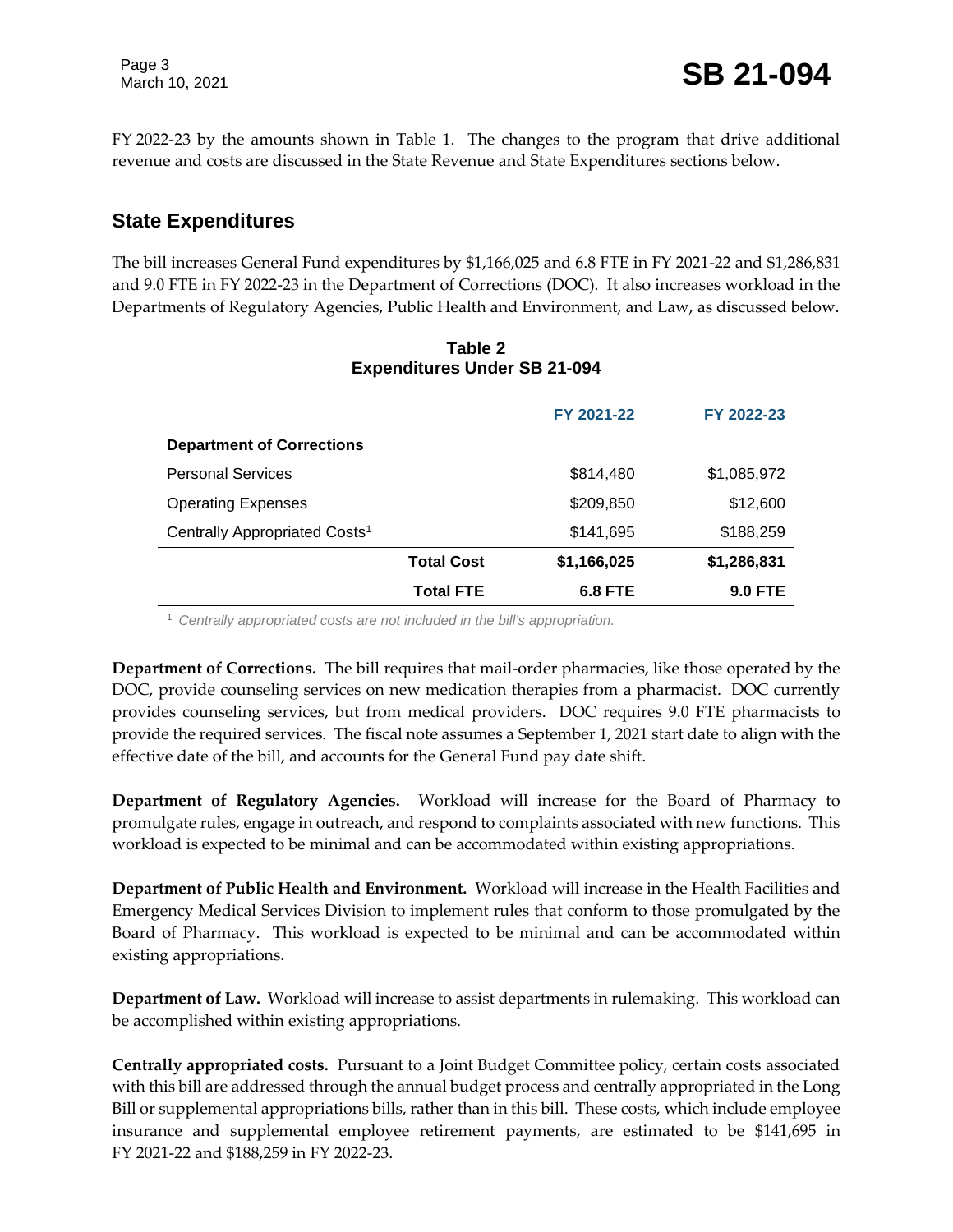FY 2022-23 by the amounts shown in Table 1. The changes to the program that drive additional revenue and costs are discussed in the State Revenue and State Expenditures sections below.

# **State Expenditures**

The bill increases General Fund expenditures by \$1,166,025 and 6.8 FTE in FY 2021-22 and \$1,286,831 and 9.0 FTE in FY 2022-23 in the Department of Corrections (DOC). It also increases workload in the Departments of Regulatory Agencies, Public Health and Environment, and Law, as discussed below.

|                                           |                   | FY 2021-22  | FY 2022-23     |
|-------------------------------------------|-------------------|-------------|----------------|
| <b>Department of Corrections</b>          |                   |             |                |
| <b>Personal Services</b>                  |                   | \$814,480   | \$1,085,972    |
| <b>Operating Expenses</b>                 |                   | \$209,850   | \$12,600       |
| Centrally Appropriated Costs <sup>1</sup> |                   | \$141,695   | \$188,259      |
|                                           | <b>Total Cost</b> | \$1,166,025 | \$1,286,831    |
|                                           | Total FTE         | 6.8 FTE     | <b>9.0 FTE</b> |

#### **Table 2 Expenditures Under SB 21-094**

<sup>1</sup> *Centrally appropriated costs are not included in the bill's appropriation.*

**Department of Corrections.** The bill requires that mail-order pharmacies, like those operated by the DOC, provide counseling services on new medication therapies from a pharmacist. DOC currently provides counseling services, but from medical providers. DOC requires 9.0 FTE pharmacists to provide the required services. The fiscal note assumes a September 1, 2021 start date to align with the effective date of the bill, and accounts for the General Fund pay date shift.

**Department of Regulatory Agencies.** Workload will increase for the Board of Pharmacy to promulgate rules, engage in outreach, and respond to complaints associated with new functions. This workload is expected to be minimal and can be accommodated within existing appropriations.

**Department of Public Health and Environment.** Workload will increase in the Health Facilities and Emergency Medical Services Division to implement rules that conform to those promulgated by the Board of Pharmacy. This workload is expected to be minimal and can be accommodated within existing appropriations.

**Department of Law.** Workload will increase to assist departments in rulemaking. This workload can be accomplished within existing appropriations.

**Centrally appropriated costs.** Pursuant to a Joint Budget Committee policy, certain costs associated with this bill are addressed through the annual budget process and centrally appropriated in the Long Bill or supplemental appropriations bills, rather than in this bill. These costs, which include employee insurance and supplemental employee retirement payments, are estimated to be \$141,695 in FY 2021-22 and \$188,259 in FY 2022-23.